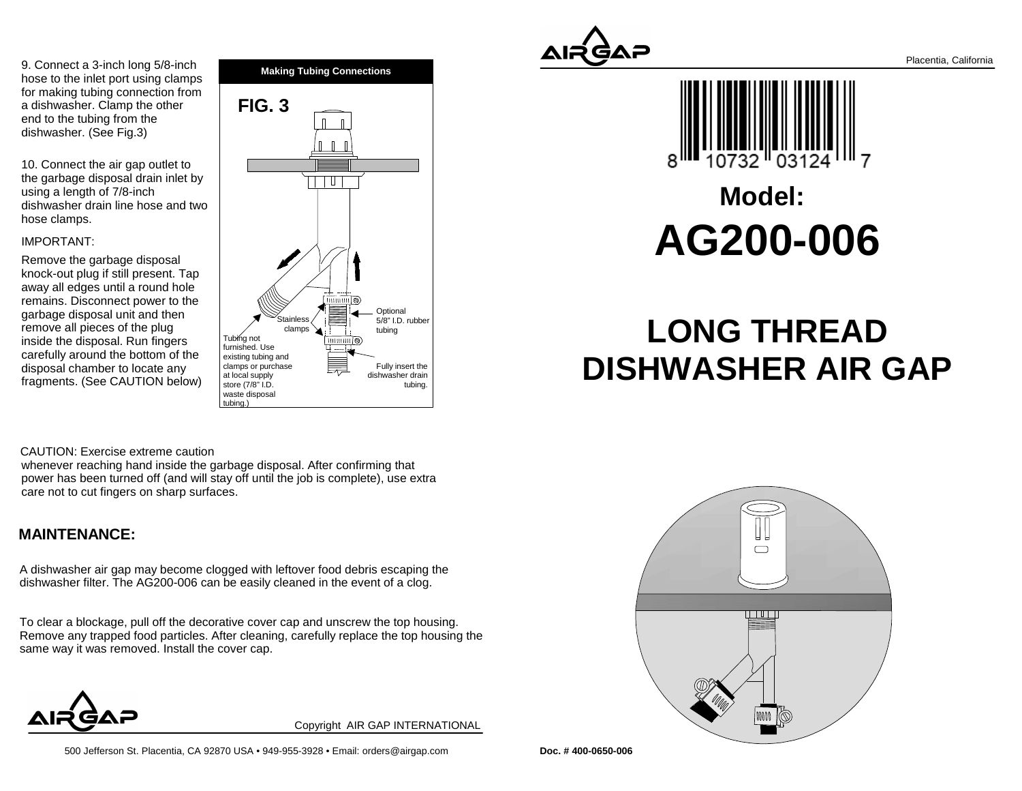9. Connect a 3-inch long 5/8-inch hose to the inlet port using clamps for making tubing connection froma dishwasher. Clamp the otherend to the tubing from thedishwasher. (See Fig.3)

10. Connect the air gap outlet to the garbage disposal drain inlet byusing a length of 7/8-inch dishwasher drain line hose and twohose clamps.

#### IMPORTANT:

Remove the garbage disposal knock-out plug if still present. Tap away all edges until a round hole remains. Disconnect power to thegarbage disposal unit and thenremove all pieces of the plug inside the disposal. Run fingers carefully around the bottom of thedisposal chamber to locate anyfragments. (See CAUTION below)





# **Model:AG200-006**

# **LONG THREADDISHWASHER AIR GAP**

#### CAUTION: Exercise extreme caution

whenever reaching hand inside the garbage disposal. After confirming that power has been turned off (and will stay off until the job is complete), use extracare not to cut fingers on sharp surfaces.

### **MAINTENANCE:**

A dishwasher air gap may become clogged with leftover food debris escaping thedishwasher filter. The AG200-006 can be easily cleaned in the event of a clog.

To clear a blockage, pull off the decorative cover cap and unscrew the top housing. Remove any trapped food particles. After cleaning, carefully replace the top housing thesame way it was removed. Install the cover cap.





Copyright AIR GAP INTERNATIONAL